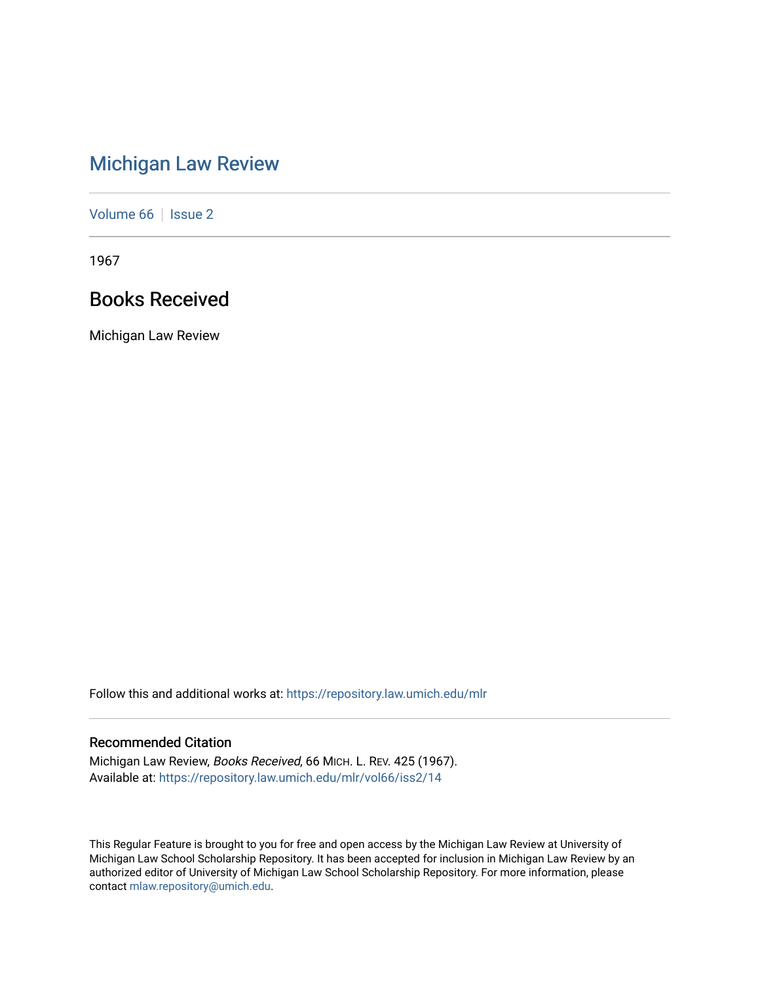# [Michigan Law Review](https://repository.law.umich.edu/mlr)

[Volume 66](https://repository.law.umich.edu/mlr/vol66) | [Issue 2](https://repository.law.umich.edu/mlr/vol66/iss2)

1967

# Books Received

Michigan Law Review

Follow this and additional works at: [https://repository.law.umich.edu/mlr](https://repository.law.umich.edu/mlr?utm_source=repository.law.umich.edu%2Fmlr%2Fvol66%2Fiss2%2F14&utm_medium=PDF&utm_campaign=PDFCoverPages) 

# Recommended Citation

Michigan Law Review, Books Received, 66 MICH. L. REV. 425 (1967). Available at: [https://repository.law.umich.edu/mlr/vol66/iss2/14](https://repository.law.umich.edu/mlr/vol66/iss2/14?utm_source=repository.law.umich.edu%2Fmlr%2Fvol66%2Fiss2%2F14&utm_medium=PDF&utm_campaign=PDFCoverPages) 

This Regular Feature is brought to you for free and open access by the Michigan Law Review at University of Michigan Law School Scholarship Repository. It has been accepted for inclusion in Michigan Law Review by an authorized editor of University of Michigan Law School Scholarship Repository. For more information, please contact [mlaw.repository@umich.edu](mailto:mlaw.repository@umich.edu).